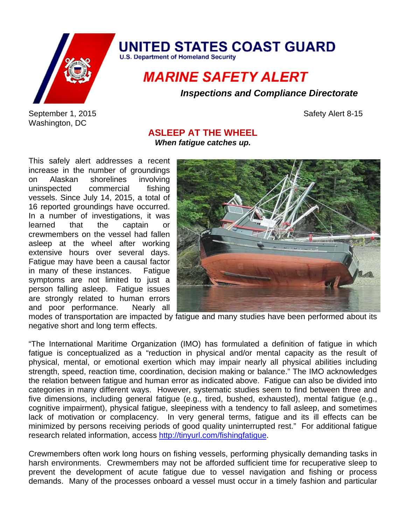

**UNITED STATES COAST GUARD** 

**U.S. Department of Homeland Security** 

## **MARINE SAFETY ALERT**

*Inspections and Compliance Directorate* 

September 1, 2015 Safety Alert 8-15 Washington, DC

## **ASLEEP AT THE WHEEL**

*When fatigue catches up.* 

This safely alert addresses a recent increase in the number of groundings on Alaskan shorelines involving uninspected commercial fishing vessels. Since July 14, 2015, a total of 16 reported groundings have occurred. In a number of investigations, it was learned that the captain or crewmembers on the vessel had fallen asleep at the wheel after working extensive hours over several days. Fatigue may have been a causal factor in many of these instances. Fatigue symptoms are not limited to just a person falling asleep. Fatigue issues are strongly related to human errors and poor performance. Nearly all



modes of transportation are impacted by fatigue and many studies have been performed about its negative short and long term effects.

"The International Maritime Organization (IMO) has formulated a definition of fatigue in which fatigue is conceptualized as a "reduction in physical and/or mental capacity as the result of physical, mental, or emotional exertion which may impair nearly all physical abilities including strength, speed, reaction time, coordination, decision making or balance." The IMO acknowledges the relation between fatigue and human error as indicated above. Fatigue can also be divided into categories in many different ways. However, systematic studies seem to find between three and five dimensions, including general fatigue (e.g., tired, bushed, exhausted), mental fatigue (e.g., cognitive impairment), physical fatigue, sleepiness with a tendency to fall asleep, and sometimes lack of motivation or complacency. In very general terms, fatigue and its ill effects can be minimized by persons receiving periods of good quality uninterrupted rest." For additional fatigue research related information, access http://tinyurl.com/fishingfatigue.

Crewmembers often work long hours on fishing vessels, performing physically demanding tasks in harsh environments. Crewmembers may not be afforded sufficient time for recuperative sleep to prevent the development of acute fatigue due to vessel navigation and fishing or process demands. Many of the processes onboard a vessel must occur in a timely fashion and particular